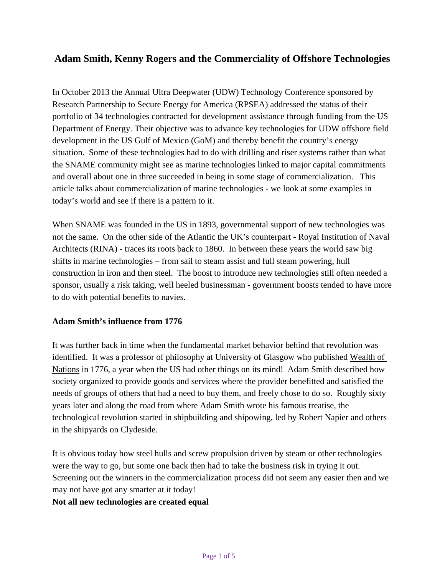# **Adam Smith, Kenny Rogers and the Commerciality of Offshore Technologies**

In October 2013 the Annual Ultra Deepwater (UDW) Technology Conference sponsored by Research Partnership to Secure Energy for America (RPSEA) addressed the status of their portfolio of 34 technologies contracted for development assistance through funding from the US Department of Energy. Their objective was to advance key technologies for UDW offshore field development in the US Gulf of Mexico (GoM) and thereby benefit the country's energy situation. Some of these technologies had to do with drilling and riser systems rather than what the SNAME community might see as marine technologies linked to major capital commitments and overall about one in three succeeded in being in some stage of commercialization. This article talks about commercialization of marine technologies - we look at some examples in today's world and see if there is a pattern to it.

When SNAME was founded in the US in 1893, governmental support of new technologies was not the same. On the other side of the Atlantic the UK's counterpart - Royal Institution of Naval Architects (RINA) - traces its roots back to 1860. In between these years the world saw big shifts in marine technologies – from sail to steam assist and full steam powering, hull construction in iron and then steel. The boost to introduce new technologies still often needed a sponsor, usually a risk taking, well heeled businessman - government boosts tended to have more to do with potential benefits to navies.

#### **Adam Smith's influence from 1776**

It was further back in time when the fundamental market behavior behind that revolution was identified. It was a professor of philosophy at University of Glasgow who published Wealth of Nations in 1776, a year when the US had other things on its mind! Adam Smith described how society organized to provide goods and services where the provider benefitted and satisfied the needs of groups of others that had a need to buy them, and freely chose to do so. Roughly sixty years later and along the road from where Adam Smith wrote his famous treatise, the technological revolution started in shipbuilding and shipowing, led by Robert Napier and others in the shipyards on Clydeside.

It is obvious today how steel hulls and screw propulsion driven by steam or other technologies were the way to go, but some one back then had to take the business risk in trying it out. Screening out the winners in the commercialization process did not seem any easier then and we may not have got any smarter at it today!

#### **Not all new technologies are created equal**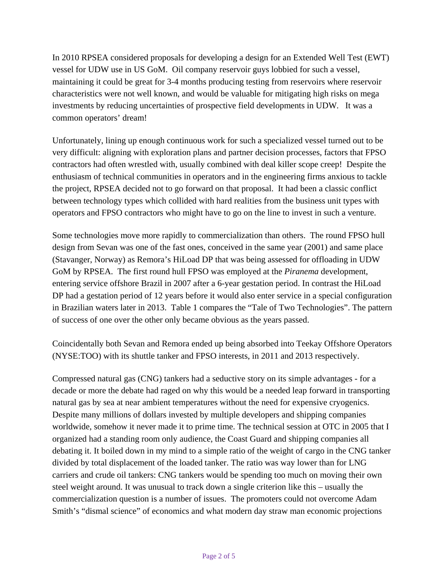In 2010 RPSEA considered proposals for developing a design for an Extended Well Test (EWT) vessel for UDW use in US GoM. Oil company reservoir guys lobbied for such a vessel, maintaining it could be great for 3-4 months producing testing from reservoirs where reservoir characteristics were not well known, and would be valuable for mitigating high risks on mega investments by reducing uncertainties of prospective field developments in UDW. It was a common operators' dream!

Unfortunately, lining up enough continuous work for such a specialized vessel turned out to be very difficult: aligning with exploration plans and partner decision processes, factors that FPSO contractors had often wrestled with, usually combined with deal killer scope creep! Despite the enthusiasm of technical communities in operators and in the engineering firms anxious to tackle the project, RPSEA decided not to go forward on that proposal. It had been a classic conflict between technology types which collided with hard realities from the business unit types with operators and FPSO contractors who might have to go on the line to invest in such a venture.

Some technologies move more rapidly to commercialization than others. The round FPSO hull design from Sevan was one of the fast ones, conceived in the same year (2001) and same place (Stavanger, Norway) as Remora's HiLoad DP that was being assessed for offloading in UDW GoM by RPSEA. The first round hull FPSO was employed at the *Piranema* development, entering service offshore Brazil in 2007 after a 6-year gestation period. In contrast the HiLoad DP had a gestation period of 12 years before it would also enter service in a special configuration in Brazilian waters later in 2013. Table 1 compares the "Tale of Two Technologies". The pattern of success of one over the other only became obvious as the years passed.

Coincidentally both Sevan and Remora ended up being absorbed into Teekay Offshore Operators (NYSE:TOO) with its shuttle tanker and FPSO interests, in 2011 and 2013 respectively.

Compressed natural gas (CNG) tankers had a seductive story on its simple advantages - for a decade or more the debate had raged on why this would be a needed leap forward in transporting natural gas by sea at near ambient temperatures without the need for expensive cryogenics. Despite many millions of dollars invested by multiple developers and shipping companies worldwide, somehow it never made it to prime time. The technical session at OTC in 2005 that I organized had a standing room only audience, the Coast Guard and shipping companies all debating it. It boiled down in my mind to a simple ratio of the weight of cargo in the CNG tanker divided by total displacement of the loaded tanker. The ratio was way lower than for LNG carriers and crude oil tankers: CNG tankers would be spending too much on moving their own steel weight around. It was unusual to track down a single criterion like this – usually the commercialization question is a number of issues. The promoters could not overcome Adam Smith's "dismal science" of economics and what modern day straw man economic projections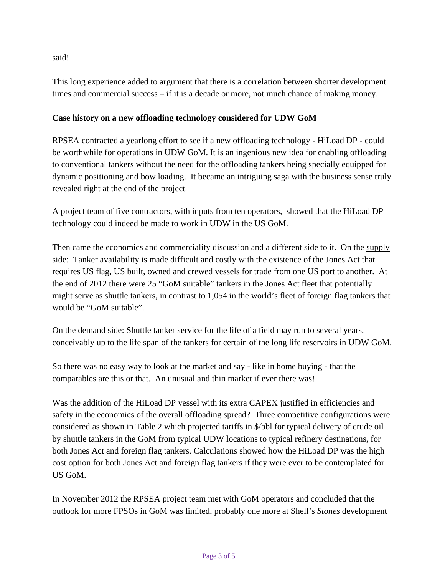said!

This long experience added to argument that there is a correlation between shorter development times and commercial success – if it is a decade or more, not much chance of making money.

### **Case history on a new offloading technology considered for UDW GoM**

RPSEA contracted a yearlong effort to see if a new offloading technology - HiLoad DP - could be worthwhile for operations in UDW GoM. It is an ingenious new idea for enabling offloading to conventional tankers without the need for the offloading tankers being specially equipped for dynamic positioning and bow loading. It became an intriguing saga with the business sense truly revealed right at the end of the project.

A project team of five contractors, with inputs from ten operators, showed that the HiLoad DP technology could indeed be made to work in UDW in the US GoM.

Then came the economics and commerciality discussion and a different side to it. On the supply side: Tanker availability is made difficult and costly with the existence of the Jones Act that requires US flag, US built, owned and crewed vessels for trade from one US port to another. At the end of 2012 there were 25 "GoM suitable" tankers in the Jones Act fleet that potentially might serve as shuttle tankers, in contrast to 1,054 in the world's fleet of foreign flag tankers that would be "GoM suitable".

On the demand side: Shuttle tanker service for the life of a field may run to several years, conceivably up to the life span of the tankers for certain of the long life reservoirs in UDW GoM.

So there was no easy way to look at the market and say - like in home buying - that the comparables are this or that. An unusual and thin market if ever there was!

Was the addition of the HiLoad DP vessel with its extra CAPEX justified in efficiencies and safety in the economics of the overall offloading spread? Three competitive configurations were considered as shown in Table 2 which projected tariffs in \$/bbl for typical delivery of crude oil by shuttle tankers in the GoM from typical UDW locations to typical refinery destinations, for both Jones Act and foreign flag tankers. Calculations showed how the HiLoad DP was the high cost option for both Jones Act and foreign flag tankers if they were ever to be contemplated for US GoM.

In November 2012 the RPSEA project team met with GoM operators and concluded that the outlook for more FPSOs in GoM was limited, probably one more at Shell's *Stones* development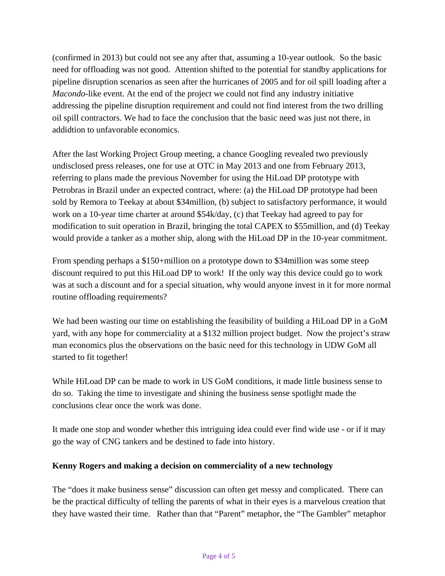(confirmed in 2013) but could not see any after that, assuming a 10-year outlook. So the basic need for offloading was not good. Attention shifted to the potential for standby applications for pipeline disruption scenarios as seen after the hurricanes of 2005 and for oil spill loading after a *Macondo-*like event. At the end of the project we could not find any industry initiative addressing the pipeline disruption requirement and could not find interest from the two drilling oil spill contractors. We had to face the conclusion that the basic need was just not there, in addidtion to unfavorable economics.

After the last Working Project Group meeting, a chance Googling revealed two previously undisclosed press releases, one for use at OTC in May 2013 and one from February 2013, referring to plans made the previous November for using the HiLoad DP prototype with Petrobras in Brazil under an expected contract, where: (a) the HiLoad DP prototype had been sold by Remora to Teekay at about \$34million, (b) subject to satisfactory performance, it would work on a 10-year time charter at around \$54k/day, (c) that Teekay had agreed to pay for modification to suit operation in Brazil, bringing the total CAPEX to \$55million, and (d) Teekay would provide a tanker as a mother ship, along with the HiLoad DP in the 10-year commitment.

From spending perhaps a \$150+million on a prototype down to \$34million was some steep discount required to put this HiLoad DP to work! If the only way this device could go to work was at such a discount and for a special situation, why would anyone invest in it for more normal routine offloading requirements?

We had been wasting our time on establishing the feasibility of building a HiLoad DP in a GoM yard, with any hope for commerciality at a \$132 million project budget. Now the project's straw man economics plus the observations on the basic need for this technology in UDW GoM all started to fit together!

While HiLoad DP can be made to work in US GoM conditions, it made little business sense to do so. Taking the time to investigate and shining the business sense spotlight made the conclusions clear once the work was done.

It made one stop and wonder whether this intriguing idea could ever find wide use - or if it may go the way of CNG tankers and be destined to fade into history.

# **Kenny Rogers and making a decision on commerciality of a new technology**

The "does it make business sense" discussion can often get messy and complicated. There can be the practical difficulty of telling the parents of what in their eyes is a marvelous creation that they have wasted their time. Rather than that "Parent" metaphor, the "The Gambler" metaphor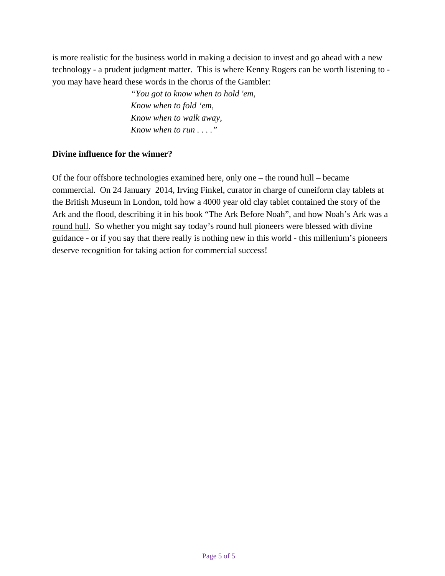is more realistic for the business world in making a decision to invest and go ahead with a new technology - a prudent judgment matter. This is where Kenny Rogers can be worth listening to you may have heard these words in the chorus of the Gambler:

> *"You got to know when to hold 'em, Know when to fold 'em, Know when to walk away, Know when to run . . . ."*

### **Divine influence for the winner?**

Of the four offshore technologies examined here, only one – the round hull – became commercial. On 24 January 2014, Irving Finkel, curator in charge of cuneiform clay tablets at the British Museum in London, told how a 4000 year old clay tablet contained the story of the Ark and the flood, describing it in his book "The Ark Before Noah", and how Noah's Ark was a round hull. So whether you might say today's round hull pioneers were blessed with divine guidance - or if you say that there really is nothing new in this world - this millenium's pioneers deserve recognition for taking action for commercial success!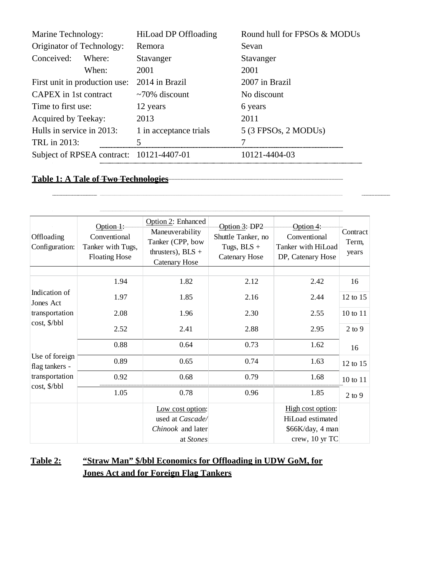| Marine Technology:                       | HiLoad DP Offloading   | Round hull for FPSOs & MODUs |  |
|------------------------------------------|------------------------|------------------------------|--|
| Originator of Technology:                | Remora                 | Sevan                        |  |
| Conceived:<br>Where:                     | Stavanger              | Stavanger                    |  |
| When:                                    | 2001                   | 2001                         |  |
| First unit in production use:            | 2014 in Brazil         | 2007 in Brazil               |  |
| CAPEX in 1st contract                    | $\sim$ 70% discount    | No discount                  |  |
| Time to first use:                       | 12 years               | 6 years                      |  |
| Acquired by Teekay:                      | 2013                   | 2011                         |  |
| Hulls in service in 2013:                | 1 in acceptance trials | $5$ (3 FPSOs, 2 MODUs)       |  |
| TRL in 2013:                             | 5                      |                              |  |
| Subject of RPSEA contract: 10121-4407-01 |                        | 10121-4404-03                |  |

# **Table 1: A Tale of Two Technologies**

| Offloading<br>Configuration:                                       | Option $1$ :<br>Conventional<br>Tanker with Tugs,<br><b>Floating Hose</b> | Option 2: Enhanced<br>Maneuverability<br>Tanker (CPP, bow<br>thrusters), $BLS +$<br><b>Catenary Hose</b> | Option 3: DP2<br>Shuttle Tanker, no<br>Tugs, $BLS +$<br><b>Catenary Hose</b> | Option $4$ :<br>Conventional<br>Tanker with HiLoad<br>DP, Catenary Hose | Contract<br>Term,<br>years |
|--------------------------------------------------------------------|---------------------------------------------------------------------------|----------------------------------------------------------------------------------------------------------|------------------------------------------------------------------------------|-------------------------------------------------------------------------|----------------------------|
|                                                                    | 1.94                                                                      | 1.82                                                                                                     | 2.12                                                                         | 2.42                                                                    | 16                         |
| Indication of<br>Jones Act<br>transportation<br>cost, \$/bbl       |                                                                           |                                                                                                          |                                                                              |                                                                         |                            |
|                                                                    | 1.97                                                                      | 1.85                                                                                                     | 2.16                                                                         | 2.44                                                                    | 12 to 15                   |
|                                                                    | 2.08                                                                      | 1.96                                                                                                     | 2.30                                                                         | 2.55                                                                    | 10 to 11                   |
|                                                                    | 2.52                                                                      | 2.41                                                                                                     | 2.88                                                                         | 2.95                                                                    | $2$ to $9$                 |
| Use of foreign<br>flag tankers -<br>transportation<br>cost, \$/bbl | 0.88                                                                      | 0.64                                                                                                     | 0.73                                                                         | 1.62                                                                    | 16                         |
|                                                                    | 0.89                                                                      | 0.65                                                                                                     | 0.74                                                                         | 1.63                                                                    | 12 to 15                   |
|                                                                    | 0.92                                                                      | 0.68                                                                                                     | 0.79                                                                         | 1.68                                                                    | 10 to 11                   |
|                                                                    | 1.05                                                                      | 0.78                                                                                                     | 0.96                                                                         | 1.85                                                                    | $2$ to 9                   |
|                                                                    |                                                                           | Low cost option:                                                                                         |                                                                              | High cost option:                                                       |                            |
|                                                                    |                                                                           | used at Cascade/                                                                                         |                                                                              | HiLoad estimated                                                        |                            |
|                                                                    |                                                                           | Chinook and later                                                                                        |                                                                              | \$66K/day, 4 man                                                        |                            |
|                                                                    |                                                                           | at Stones                                                                                                |                                                                              | crew, 10 yr TC                                                          |                            |

# **Table 2: "Straw Man" \$/bbl Economics for Offloading in UDW GoM, for Jones Act and for Foreign Flag Tankers**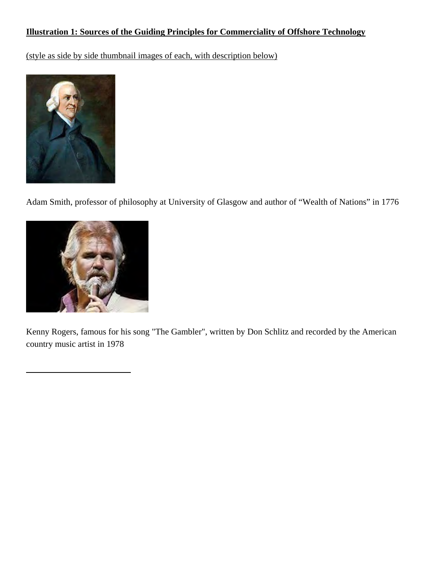# **Illustration 1: Sources of the Guiding Principles for Commerciality of Offshore Technology**

(style as side by side thumbnail images of each, with description below)



Adam Smith, professor of philosophy at University of Glasgow and author of "Wealth of Nations" in 1776



Kenny Rogers, famous for his song "The Gambler", written by Don Schlitz and recorded by the American country music artist in 1978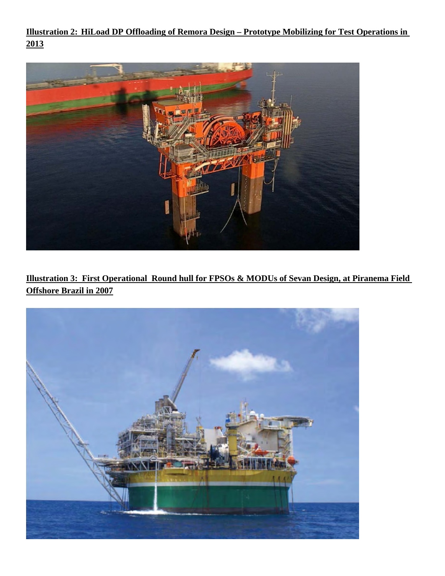**Illustration 2: HiLoad DP Offloading of Remora Design – Prototype Mobilizing for Test Operations in 2013**



**Illustration 3: First Operational Round hull for FPSOs & MODUs of Sevan Design, at Piranema Field Offshore Brazil in 2007**